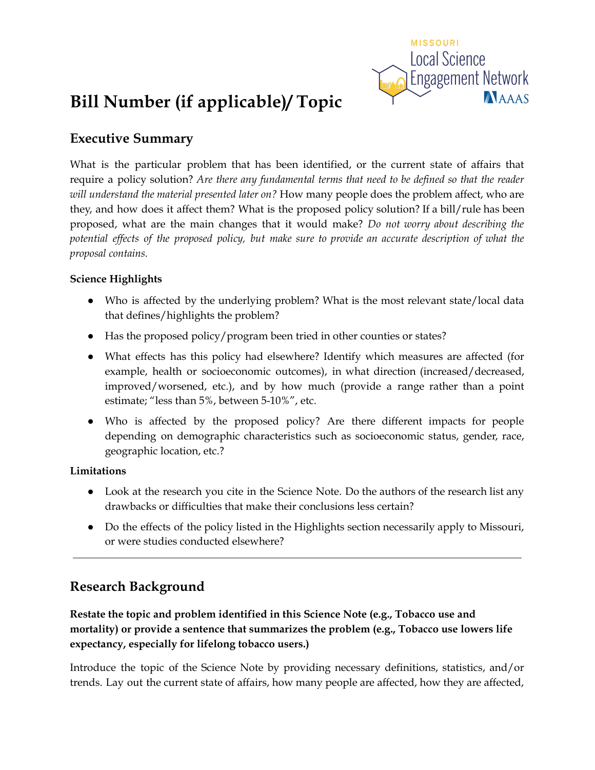

# **Bill Number (if applicable)/ Topic**

## **Executive Summary**

What is the particular problem that has been identified, or the current state of affairs that require a policy solution? *Are there any fundamental terms that need to be defined so that the reader will understand the material presented later on?* How many people does the problem affect, who are they, and how does it affect them? What is the proposed policy solution? If a bill/rule has been proposed, what are the main changes that it would make? *Do not worry about describing the* potential effects of the proposed policy, but make sure to provide an accurate description of what the *proposal contains.*

### **Science Highlights**

- Who is affected by the underlying problem? What is the most relevant state/local data that defines/highlights the problem?
- Has the proposed policy/program been tried in other counties or states?
- What effects has this policy had elsewhere? Identify which measures are affected (for example, health or socioeconomic outcomes), in what direction (increased/decreased, improved/worsened, etc.), and by how much (provide a range rather than a point estimate; "less than 5%, between 5-10%", etc.
- Who is affected by the proposed policy? Are there different impacts for people depending on demographic characteristics such as socioeconomic status, gender, race, geographic location, etc.?

### **Limitations**

- Look at the research you cite in the Science Note. Do the authors of the research list any drawbacks or difficulties that make their conclusions less certain?
- Do the effects of the policy listed in the Highlights section necessarily apply to Missouri, or were studies conducted elsewhere?

## **Research Background**

**Restate the topic and problem identified in this Science Note (e.g., Tobacco use and mortality) or provide a sentence that summarizes the problem (e.g., Tobacco use lowers life expectancy, especially for lifelong tobacco users.)**

Introduce the topic of the Science Note by providing necessary definitions, statistics, and/or trends. Lay out the current state of affairs, how many people are affected, how they are affected,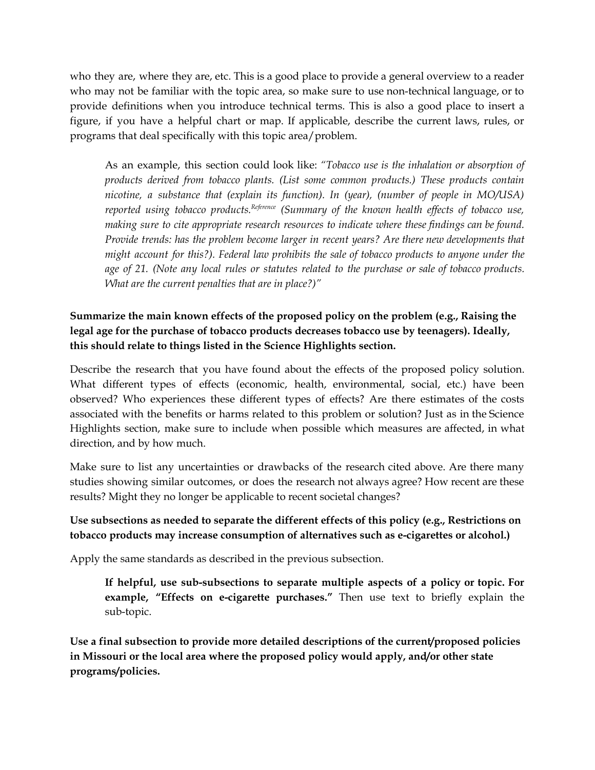who they are, where they are, etc. This is a good place to provide a general overview to a reader who may not be familiar with the topic area, so make sure to use non-technical language, or to provide definitions when you introduce technical terms. This is also a good place to insert a figure, if you have a helpful chart or map. If applicable, describe the current laws, rules, or programs that deal specifically with this topic area/problem.

As an example, this section could look like: *"Tobacco use is the inhalation or absorption of products derived from tobacco plants. (List some common products.) These products contain nicotine, a substance that (explain its function). In (year), (number of people in MO/USA) reported using tobacco products. Reference (Summary of the known health ef ects of tobacco use, making sure to cite appropriate research resources to indicate where these findings can be found. Provide trends: has the problem become larger in recent years? Are there new developments that might account for this?). Federal law prohibits the sale of tobacco products to anyone under the age of 21. (Note any local rules or statutes related to the purchase or sale of tobacco products. What are the current penalties that are in place?)"*

## **Summarize the main known effects of the proposed policy on the problem (e.g., Raising the legal age for the purchase of tobacco products decreases tobacco use by teenagers). Ideally, this should relate to things listed in the Science Highlights section.**

Describe the research that you have found about the effects of the proposed policy solution. What different types of effects (economic, health, environmental, social, etc.) have been observed? Who experiences these different types of effects? Are there estimates of the costs associated with the benefits or harms related to this problem or solution? Just as in the Science Highlights section, make sure to include when possible which measures are affected, in what direction, and by how much.

Make sure to list any uncertainties or drawbacks of the research cited above. Are there many studies showing similar outcomes, or does the research not always agree? How recent are these results? Might they no longer be applicable to recent societal changes?

## **Use subsections as needed to separate the different effects of this policy (e.g., Restrictions on tobacco products may increase consumption of alternatives such as e-cigarettes or alcohol.)**

Apply the same standards as described in the previous subsection.

**If helpful, use sub-subsections to separate multiple aspects of a policy or topic. For example, "Effects on e-cigarette purchases."** Then use text to briefly explain the sub-topic.

**Use a final subsection to provide more detailed descriptions of the current/proposed policies in Missouri or the local area where the proposed policy would apply, and/or other state programs/policies.**